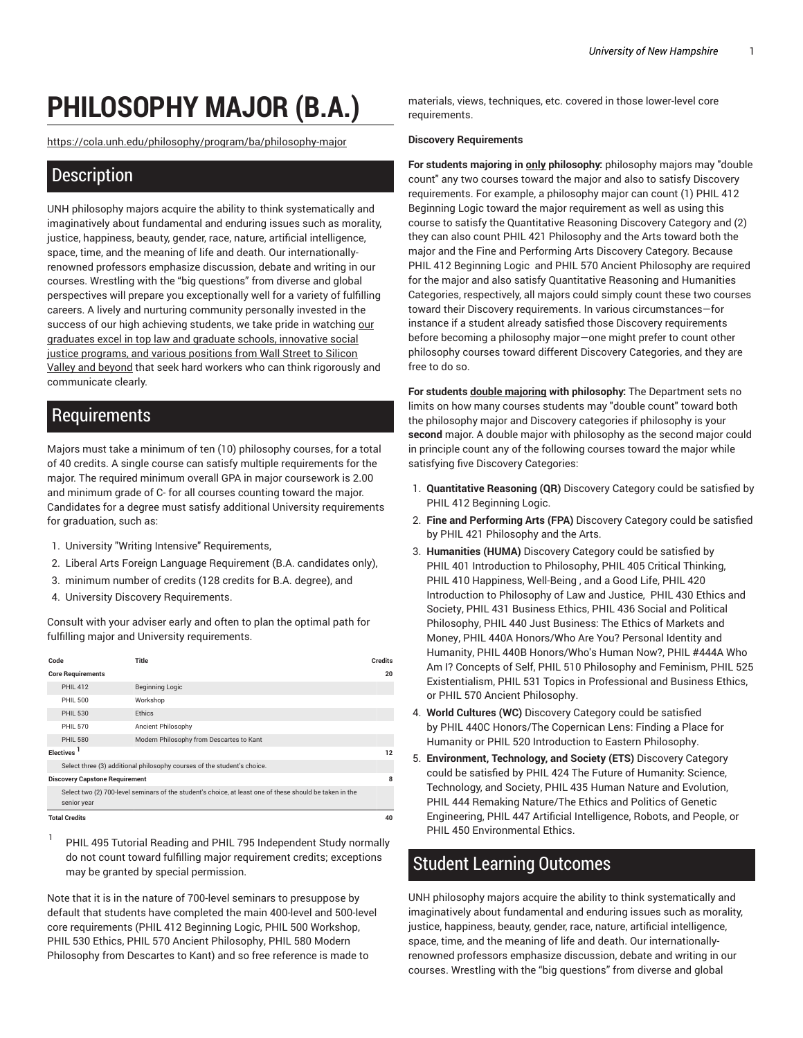# **PHILOSOPHY MAJOR (B.A.)**

[https://cola.unh.edu/philosophy/program/ba/philosophy-major](https://cola.unh.edu/philosophy/program/ba/philosophy-major/)

### **Description**

UNH philosophy majors acquire the ability to think systematically and imaginatively about fundamental and enduring issues such as morality, justice, happiness, beauty, gender, race, nature, artificial intelligence, space, time, and the meaning of life and death. Our internationallyrenowned professors emphasize discussion, debate and writing in our courses. Wrestling with the "big questions" from diverse and global perspectives will prepare you exceptionally well for a variety of fulfilling careers. A lively and nurturing community personally invested in the success of [our](https://cola.unh.edu/spotlight/philosophy/) high achieving students, we take pride in watching our graduates excel in top law and graduate schools, [innovative](https://cola.unh.edu/spotlight/philosophy/) social justice [programs,](https://cola.unh.edu/spotlight/philosophy/) and various positions from Wall Street to Silicon Valley and [beyond](https://cola.unh.edu/spotlight/philosophy/) that seek hard workers who can think rigorously and communicate clearly.

### Requirements

Majors must take a minimum of ten (10) philosophy courses, for a total of 40 credits. A single course can satisfy multiple requirements for the major. The required minimum overall GPA in major coursework is 2.00 and minimum grade of C- for all courses counting toward the major. Candidates for a degree must satisfy additional University requirements for graduation, such as:

- 1. University "Writing Intensive" Requirements,
- 2. Liberal Arts Foreign Language Requirement (B.A. candidates only),
- 3. minimum number of credits (128 credits for B.A. degree), and
- 4. University Discovery Requirements.

Consult with your adviser early and often to plan the optimal path for fulfilling major and University requirements.

| Code                                                                    |                                                                                                                        | Title                                    | <b>Credits</b> |
|-------------------------------------------------------------------------|------------------------------------------------------------------------------------------------------------------------|------------------------------------------|----------------|
| <b>Core Requirements</b>                                                |                                                                                                                        |                                          | 20             |
|                                                                         | <b>PHIL 412</b>                                                                                                        | <b>Beginning Logic</b>                   |                |
|                                                                         | PHII 500                                                                                                               | Workshop                                 |                |
|                                                                         | <b>PHIL 530</b>                                                                                                        | <b>Fthics</b>                            |                |
|                                                                         | PHII 570                                                                                                               | Ancient Philosophy                       |                |
|                                                                         | PHII 580                                                                                                               | Modern Philosophy from Descartes to Kant |                |
| Flectives <sup>1</sup>                                                  |                                                                                                                        |                                          | 12             |
| Select three (3) additional philosophy courses of the student's choice. |                                                                                                                        |                                          |                |
| <b>Discovery Capstone Requirement</b>                                   |                                                                                                                        |                                          | 8              |
|                                                                         | Select two (2) 700-level seminars of the student's choice, at least one of these should be taken in the<br>senior year |                                          |                |
| <b>Total Credits</b>                                                    |                                                                                                                        |                                          | 40             |

1 PHIL 495 Tutorial Reading and PHIL 795 Independent Study normally do not count toward fulfilling major requirement credits; exceptions may be granted by special permission.

Note that it is in the nature of 700-level seminars to presuppose by default that students have completed the main 400-level and 500-level core requirements (PHIL 412 Beginning Logic, PHIL 500 Workshop, PHIL 530 Ethics, PHIL 570 Ancient Philosophy, PHIL 580 Modern Philosophy from Descartes to Kant) and so free reference is made to

materials, views, techniques, etc. covered in those lower-level core requirements.

#### **Discovery Requirements**

**For students majoring in only philosophy:** philosophy majors may "double count" any two courses toward the major and also to satisfy Discovery requirements. For example, a philosophy major can count (1) PHIL 412 Beginning Logic toward the major requirement as well as using this course to satisfy the Quantitative Reasoning Discovery Category and (2) they can also count PHIL 421 Philosophy and the Arts toward both the major and the Fine and Performing Arts Discovery Category. Because PHIL 412 Beginning Logic and PHIL 570 Ancient Philosophy are required for the major and also satisfy Quantitative Reasoning and Humanities Categories, respectively, all majors could simply count these two courses toward their Discovery requirements. In various circumstances—for instance if a student already satisfied those Discovery requirements before becoming a philosophy major—one might prefer to count other philosophy courses toward different Discovery Categories, and they are free to do so.

**For students double majoring with philosophy:** The Department sets no limits on how many courses students may "double count" toward both the philosophy major and Discovery categories if philosophy is your **second** major. A double major with philosophy as the second major could in principle count any of the following courses toward the major while satisfying five Discovery Categories:

- 1. **Quantitative Reasoning (QR)** Discovery Category could be satisfied by PHIL 412 Beginning Logic.
- 2. **Fine and Performing Arts (FPA)** Discovery Category could be satisfied by PHIL 421 Philosophy and the Arts.
- 3. **Humanities (HUMA)** Discovery Category could be satisfied by PHIL 401 Introduction to Philosophy, PHIL 405 Critical Thinking, PHIL 410 Happiness, Well-Being , and a Good Life, PHIL 420 Introduction to Philosophy of Law and Justice, PHIL 430 Ethics and Society, PHIL 431 Business Ethics, PHIL 436 Social and Political Philosophy, PHIL 440 Just Business: The Ethics of Markets and Money, PHIL 440A Honors/Who Are You? Personal Identity and Humanity, PHIL 440B Honors/Who's Human Now?, PHIL #444A Who Am I? Concepts of Self, PHIL 510 Philosophy and Feminism, PHIL 525 Existentialism, PHIL 531 Topics in Professional and Business Ethics, or PHIL 570 Ancient Philosophy.
- 4. **World Cultures (WC)** Discovery Category could be satisfied by PHIL 440C Honors/The Copernican Lens: Finding a Place for Humanity or PHIL 520 Introduction to Eastern Philosophy.
- 5. **Environment, Technology, and Society (ETS)** Discovery Category could be satisfied by PHIL 424 The Future of Humanity: Science, Technology, and Society, PHIL 435 Human Nature and Evolution, PHIL 444 Remaking Nature/The Ethics and Politics of Genetic Engineering, PHIL 447 Artificial Intelligence, Robots, and People, or PHIL 450 Environmental Ethics.

## Student Learning Outcomes

UNH philosophy majors acquire the ability to think systematically and imaginatively about fundamental and enduring issues such as morality, justice, happiness, beauty, gender, race, nature, artificial intelligence, space, time, and the meaning of life and death. Our internationallyrenowned professors emphasize discussion, debate and writing in our courses. Wrestling with the "big questions" from diverse and global